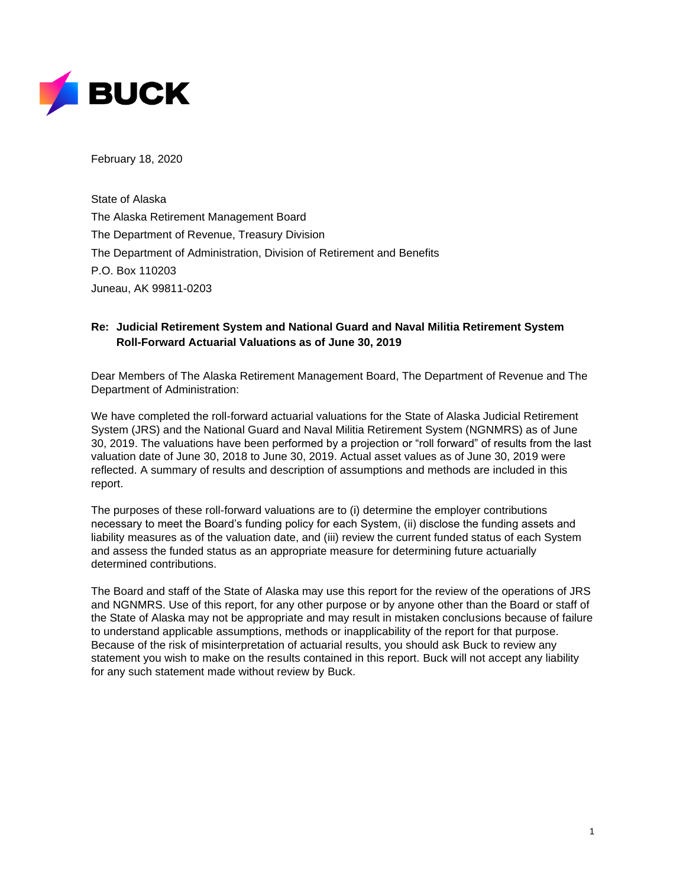

February 18, 2020

State of Alaska The Alaska Retirement Management Board The Department of Revenue, Treasury Division The Department of Administration, Division of Retirement and Benefits P.O. Box 110203 Juneau, AK 99811-0203

### **Re: Judicial Retirement System and National Guard and Naval Militia Retirement System Roll-Forward Actuarial Valuations as of June 30, 2019**

Dear Members of The Alaska Retirement Management Board, The Department of Revenue and The Department of Administration:

We have completed the roll-forward actuarial valuations for the State of Alaska Judicial Retirement System (JRS) and the National Guard and Naval Militia Retirement System (NGNMRS) as of June 30, 2019. The valuations have been performed by a projection or "roll forward" of results from the last valuation date of June 30, 2018 to June 30, 2019. Actual asset values as of June 30, 2019 were reflected. A summary of results and description of assumptions and methods are included in this report.

The purposes of these roll-forward valuations are to (i) determine the employer contributions necessary to meet the Board's funding policy for each System, (ii) disclose the funding assets and liability measures as of the valuation date, and (iii) review the current funded status of each System and assess the funded status as an appropriate measure for determining future actuarially determined contributions.

The Board and staff of the State of Alaska may use this report for the review of the operations of JRS and NGNMRS. Use of this report, for any other purpose or by anyone other than the Board or staff of the State of Alaska may not be appropriate and may result in mistaken conclusions because of failure to understand applicable assumptions, methods or inapplicability of the report for that purpose. Because of the risk of misinterpretation of actuarial results, you should ask Buck to review any statement you wish to make on the results contained in this report. Buck will not accept any liability for any such statement made without review by Buck.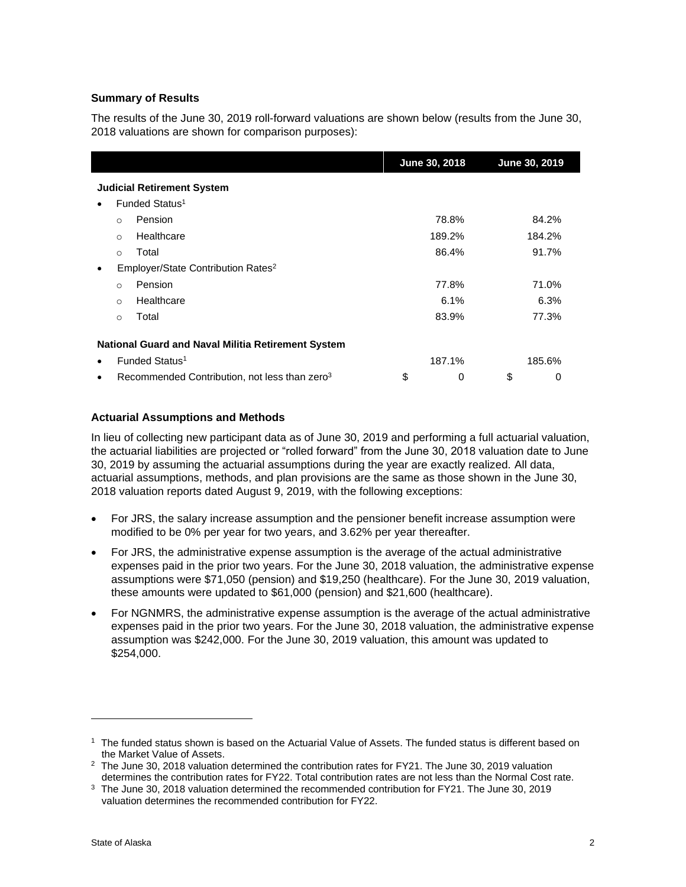### **Summary of Results**

The results of the June 30, 2019 roll-forward valuations are shown below (results from the June 30, 2018 valuations are shown for comparison purposes):

|   |                                   |                                                           | June 30, 2018 |        |    | June 30, 2019 |  |  |  |  |
|---|-----------------------------------|-----------------------------------------------------------|---------------|--------|----|---------------|--|--|--|--|
|   | <b>Judicial Retirement System</b> |                                                           |               |        |    |               |  |  |  |  |
|   |                                   | Funded Status <sup>1</sup>                                |               |        |    |               |  |  |  |  |
|   | $\circ$                           | Pension                                                   |               | 78.8%  |    | 84.2%         |  |  |  |  |
|   | $\circ$                           | Healthcare                                                |               | 189.2% |    | 184.2%        |  |  |  |  |
|   | $\circ$                           | Total                                                     |               | 86.4%  |    | 91.7%         |  |  |  |  |
|   |                                   | Employer/State Contribution Rates <sup>2</sup>            |               |        |    |               |  |  |  |  |
|   | $\Omega$                          | Pension                                                   |               | 77.8%  |    | 71.0%         |  |  |  |  |
|   | $\Omega$                          | Healthcare                                                |               | 6.1%   |    | 6.3%          |  |  |  |  |
|   | $\circ$                           | Total                                                     |               | 83.9%  |    | 77.3%         |  |  |  |  |
|   |                                   | <b>National Guard and Naval Militia Retirement System</b> |               |        |    |               |  |  |  |  |
|   |                                   | Funded Status <sup>1</sup>                                |               | 187.1% |    | 185.6%        |  |  |  |  |
| ٠ |                                   | Recommended Contribution, not less than zero <sup>3</sup> | \$            | 0      | \$ | 0             |  |  |  |  |

#### **Actuarial Assumptions and Methods**

In lieu of collecting new participant data as of June 30, 2019 and performing a full actuarial valuation, the actuarial liabilities are projected or "rolled forward" from the June 30, 2018 valuation date to June 30, 2019 by assuming the actuarial assumptions during the year are exactly realized. All data, actuarial assumptions, methods, and plan provisions are the same as those shown in the June 30, 2018 valuation reports dated August 9, 2019, with the following exceptions:

- For JRS, the salary increase assumption and the pensioner benefit increase assumption were modified to be 0% per year for two years, and 3.62% per year thereafter.
- For JRS, the administrative expense assumption is the average of the actual administrative expenses paid in the prior two years. For the June 30, 2018 valuation, the administrative expense assumptions were \$71,050 (pension) and \$19,250 (healthcare). For the June 30, 2019 valuation, these amounts were updated to \$61,000 (pension) and \$21,600 (healthcare).
- For NGNMRS, the administrative expense assumption is the average of the actual administrative expenses paid in the prior two years. For the June 30, 2018 valuation, the administrative expense assumption was \$242,000. For the June 30, 2019 valuation, this amount was updated to \$254,000.

 $1$  The funded status shown is based on the Actuarial Value of Assets. The funded status is different based on the Market Value of Assets.

<sup>&</sup>lt;sup>2</sup> The June 30, 2018 valuation determined the contribution rates for FY21. The June 30, 2019 valuation determines the contribution rates for FY22. Total contribution rates are not less than the Normal Cost rate.

<sup>&</sup>lt;sup>3</sup> The June 30, 2018 valuation determined the recommended contribution for FY21. The June 30, 2019 valuation determines the recommended contribution for FY22.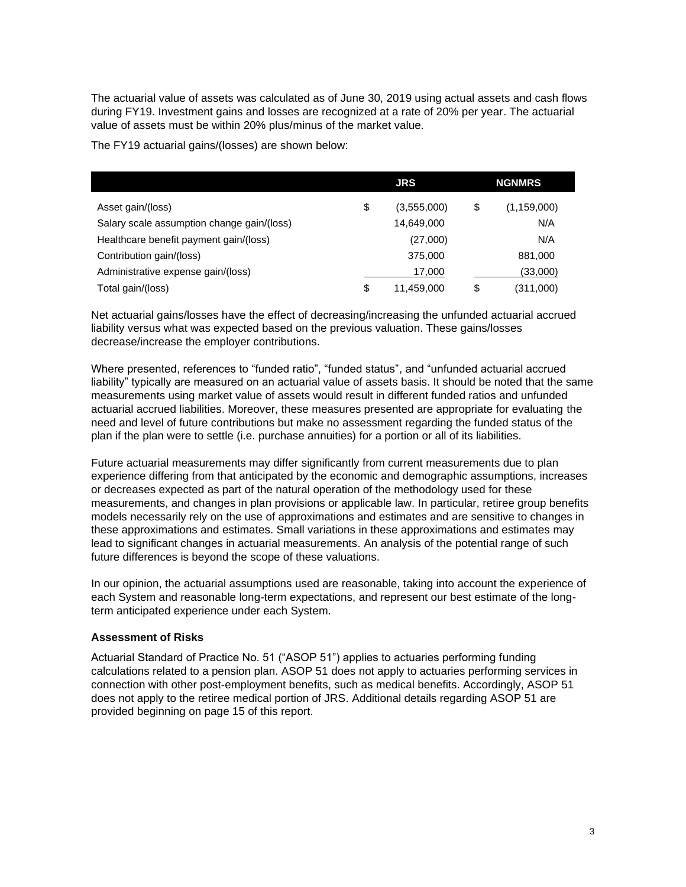The actuarial value of assets was calculated as of June 30, 2019 using actual assets and cash flows during FY19. Investment gains and losses are recognized at a rate of 20% per year. The actuarial value of assets must be within 20% plus/minus of the market value.

The FY19 actuarial gains/(losses) are shown below:

|                                            | <b>JRS</b>        | <b>NGNMRS</b>       |
|--------------------------------------------|-------------------|---------------------|
| Asset gain/(loss)                          | \$<br>(3.555,000) | \$<br>(1, 159, 000) |
| Salary scale assumption change gain/(loss) | 14,649,000        | N/A                 |
| Healthcare benefit payment gain/(loss)     | (27,000)          | N/A                 |
| Contribution gain/(loss)                   | 375,000           | 881,000             |
| Administrative expense gain/(loss)         | 17.000            | (33,000)            |
| Total gain/(loss)                          | \$<br>11.459.000  | \$<br>(311,000)     |

Net actuarial gains/losses have the effect of decreasing/increasing the unfunded actuarial accrued liability versus what was expected based on the previous valuation. These gains/losses decrease/increase the employer contributions.

Where presented, references to "funded ratio", "funded status", and "unfunded actuarial accrued liability" typically are measured on an actuarial value of assets basis. It should be noted that the same measurements using market value of assets would result in different funded ratios and unfunded actuarial accrued liabilities. Moreover, these measures presented are appropriate for evaluating the need and level of future contributions but make no assessment regarding the funded status of the plan if the plan were to settle (i.e. purchase annuities) for a portion or all of its liabilities.

Future actuarial measurements may differ significantly from current measurements due to plan experience differing from that anticipated by the economic and demographic assumptions, increases or decreases expected as part of the natural operation of the methodology used for these measurements, and changes in plan provisions or applicable law. In particular, retiree group benefits models necessarily rely on the use of approximations and estimates and are sensitive to changes in these approximations and estimates. Small variations in these approximations and estimates may lead to significant changes in actuarial measurements. An analysis of the potential range of such future differences is beyond the scope of these valuations.

In our opinion, the actuarial assumptions used are reasonable, taking into account the experience of each System and reasonable long-term expectations, and represent our best estimate of the longterm anticipated experience under each System.

#### **Assessment of Risks**

Actuarial Standard of Practice No. 51 ("ASOP 51") applies to actuaries performing funding calculations related to a pension plan. ASOP 51 does not apply to actuaries performing services in connection with other post-employment benefits, such as medical benefits. Accordingly, ASOP 51 does not apply to the retiree medical portion of JRS. Additional details regarding ASOP 51 are provided beginning on page 15 of this report.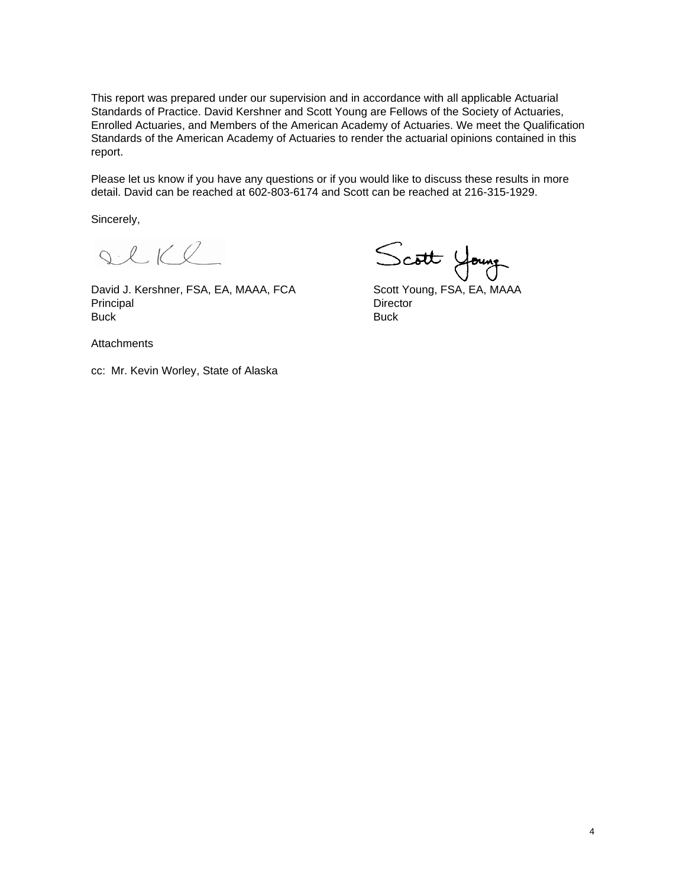This report was prepared under our supervision and in accordance with all applicable Actuarial Standards of Practice. David Kershner and Scott Young are Fellows of the Society of Actuaries, Enrolled Actuaries, and Members of the American Academy of Actuaries. We meet the Qualification Standards of the American Academy of Actuaries to render the actuarial opinions contained in this report.

Please let us know if you have any questions or if you would like to discuss these results in more detail. David can be reached at 602-803-6174 and Scott can be reached at 216-315-1929.

Sincerely,

DeKl

David J. Kershner, FSA, EA, MAAA, FCA Scott Young, FSA, EA, MAAA Principal Director Buck Buck

Scott Young

**Attachments** 

cc: Mr. Kevin Worley, State of Alaska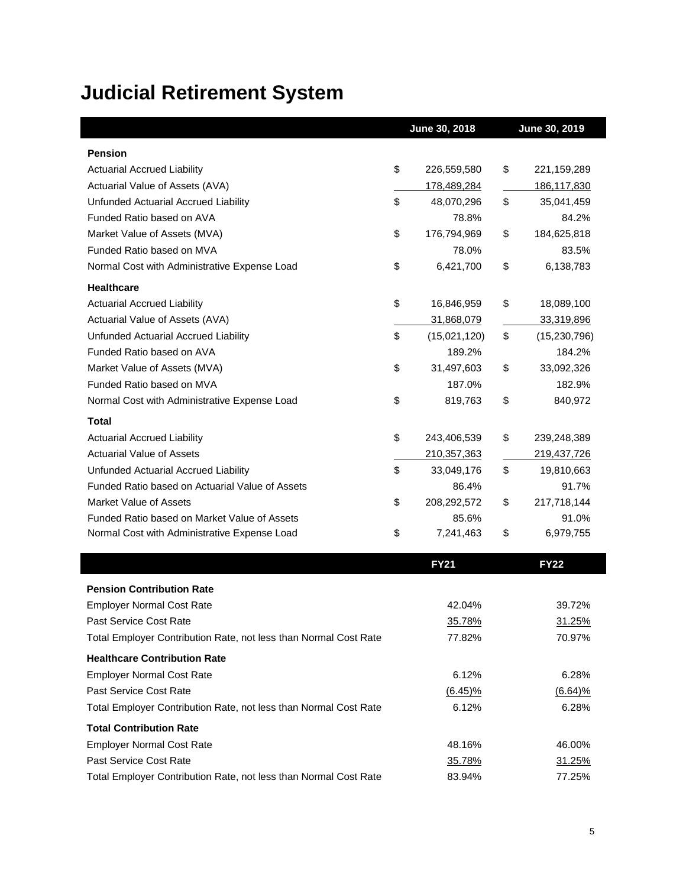# **Judicial Retirement System**

|                                                 | June 30, 2018      | June 30, 2019      |
|-------------------------------------------------|--------------------|--------------------|
| <b>Pension</b>                                  |                    |                    |
| <b>Actuarial Accrued Liability</b>              | \$<br>226,559,580  | \$<br>221,159,289  |
| Actuarial Value of Assets (AVA)                 | 178,489,284        | 186,117,830        |
| Unfunded Actuarial Accrued Liability            | \$<br>48,070,296   | \$<br>35,041,459   |
| Funded Ratio based on AVA                       | 78.8%              | 84.2%              |
| Market Value of Assets (MVA)                    | \$<br>176,794,969  | \$<br>184,625,818  |
| Funded Ratio based on MVA                       | 78.0%              | 83.5%              |
| Normal Cost with Administrative Expense Load    | \$<br>6,421,700    | \$<br>6,138,783    |
| <b>Healthcare</b>                               |                    |                    |
| <b>Actuarial Accrued Liability</b>              | \$<br>16,846,959   | \$<br>18,089,100   |
| Actuarial Value of Assets (AVA)                 | 31,868,079         | 33,319,896         |
| Unfunded Actuarial Accrued Liability            | \$<br>(15,021,120) | \$<br>(15,230,796) |
| Funded Ratio based on AVA                       | 189.2%             | 184.2%             |
| Market Value of Assets (MVA)                    | \$<br>31,497,603   | \$<br>33,092,326   |
| Funded Ratio based on MVA                       | 187.0%             | 182.9%             |
| Normal Cost with Administrative Expense Load    | \$<br>819,763      | \$<br>840,972      |
| Total                                           |                    |                    |
| <b>Actuarial Accrued Liability</b>              | \$<br>243,406,539  | \$<br>239,248,389  |
| <b>Actuarial Value of Assets</b>                | 210,357,363        | 219,437,726        |
| Unfunded Actuarial Accrued Liability            | \$<br>33,049,176   | \$<br>19,810,663   |
| Funded Ratio based on Actuarial Value of Assets | 86.4%              | 91.7%              |
| Market Value of Assets                          | \$<br>208,292,572  | \$<br>217,718,144  |
| Funded Ratio based on Market Value of Assets    | 85.6%              | 91.0%              |
| Normal Cost with Administrative Expense Load    | \$<br>7,241,463    | \$<br>6,979,755    |
|                                                 | <b>FY21</b>        | <b>FY22</b>        |

|                                                                  | <b>FY21</b> | <b>FY22</b> |
|------------------------------------------------------------------|-------------|-------------|
| <b>Pension Contribution Rate</b>                                 |             |             |
| <b>Employer Normal Cost Rate</b>                                 | 42.04%      | 39.72%      |
| Past Service Cost Rate                                           | 35.78%      | 31.25%      |
| Total Employer Contribution Rate, not less than Normal Cost Rate | 77.82%      | 70.97%      |
| <b>Healthcare Contribution Rate</b>                              |             |             |
| <b>Employer Normal Cost Rate</b>                                 | 6.12%       | 6.28%       |
| Past Service Cost Rate                                           | $(6.45)\%$  | (6.64)%     |
| Total Employer Contribution Rate, not less than Normal Cost Rate | 6.12%       | 6.28%       |
| <b>Total Contribution Rate</b>                                   |             |             |
| <b>Employer Normal Cost Rate</b>                                 | 48.16%      | 46.00%      |
| Past Service Cost Rate                                           | 35.78%      | 31.25%      |
| Total Employer Contribution Rate, not less than Normal Cost Rate | 83.94%      | 77.25%      |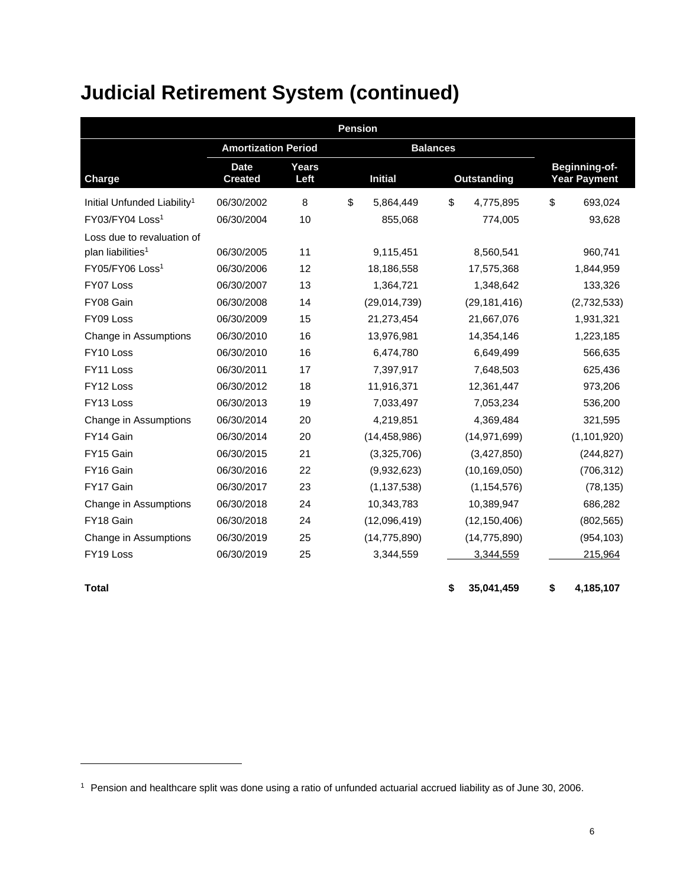| <b>Pension</b>                          |                               |               |    |                 |    |                |    |                                             |  |  |
|-----------------------------------------|-------------------------------|---------------|----|-----------------|----|----------------|----|---------------------------------------------|--|--|
|                                         | <b>Amortization Period</b>    |               |    | <b>Balances</b> |    |                |    |                                             |  |  |
| Charge                                  | <b>Date</b><br><b>Created</b> | Years<br>Left |    | <b>Initial</b>  |    | Outstanding    |    | <b>Beginning-of-</b><br><b>Year Payment</b> |  |  |
| Initial Unfunded Liability <sup>1</sup> | 06/30/2002                    | 8             | \$ | 5,864,449       | \$ | 4,775,895      | \$ | 693,024                                     |  |  |
| FY03/FY04 Loss <sup>1</sup>             | 06/30/2004                    | 10            |    | 855,068         |    | 774,005        |    | 93,628                                      |  |  |
| Loss due to revaluation of              |                               |               |    |                 |    |                |    |                                             |  |  |
| plan liabilities <sup>1</sup>           | 06/30/2005                    | 11            |    | 9,115,451       |    | 8,560,541      |    | 960,741                                     |  |  |
| FY05/FY06 Loss <sup>1</sup>             | 06/30/2006                    | 12            |    | 18,186,558      |    | 17,575,368     |    | 1,844,959                                   |  |  |
| FY07 Loss                               | 06/30/2007                    | 13            |    | 1,364,721       |    | 1,348,642      |    | 133,326                                     |  |  |
| FY08 Gain                               | 06/30/2008                    | 14            |    | (29,014,739)    |    | (29, 181, 416) |    | (2,732,533)                                 |  |  |
| FY09 Loss                               | 06/30/2009                    | 15            |    | 21,273,454      |    | 21,667,076     |    | 1,931,321                                   |  |  |
| Change in Assumptions                   | 06/30/2010                    | 16            |    | 13,976,981      |    | 14,354,146     |    | 1,223,185                                   |  |  |
| FY10 Loss                               | 06/30/2010                    | 16            |    | 6,474,780       |    | 6,649,499      |    | 566,635                                     |  |  |
| FY11 Loss                               | 06/30/2011                    | 17            |    | 7,397,917       |    | 7,648,503      |    | 625,436                                     |  |  |
| FY12 Loss                               | 06/30/2012                    | 18            |    | 11,916,371      |    | 12,361,447     |    | 973,206                                     |  |  |
| FY13 Loss                               | 06/30/2013                    | 19            |    | 7,033,497       |    | 7,053,234      |    | 536,200                                     |  |  |
| Change in Assumptions                   | 06/30/2014                    | 20            |    | 4,219,851       |    | 4,369,484      |    | 321,595                                     |  |  |
| FY14 Gain                               | 06/30/2014                    | 20            |    | (14, 458, 986)  |    | (14, 971, 699) |    | (1, 101, 920)                               |  |  |
| FY15 Gain                               | 06/30/2015                    | 21            |    | (3,325,706)     |    | (3,427,850)    |    | (244, 827)                                  |  |  |
| FY16 Gain                               | 06/30/2016                    | 22            |    | (9,932,623)     |    | (10, 169, 050) |    | (706, 312)                                  |  |  |
| FY17 Gain                               | 06/30/2017                    | 23            |    | (1, 137, 538)   |    | (1, 154, 576)  |    | (78, 135)                                   |  |  |
| Change in Assumptions                   | 06/30/2018                    | 24            |    | 10,343,783      |    | 10,389,947     |    | 686,282                                     |  |  |
| FY18 Gain                               | 06/30/2018                    | 24            |    | (12,096,419)    |    | (12, 150, 406) |    | (802, 565)                                  |  |  |
| Change in Assumptions                   | 06/30/2019                    | 25            |    | (14, 775, 890)  |    | (14, 775, 890) |    | (954, 103)                                  |  |  |
| FY19 Loss                               | 06/30/2019                    | 25            |    | 3,344,559       |    | 3,344,559      |    | 215,964                                     |  |  |
| <b>Total</b>                            |                               |               |    |                 | \$ | 35,041,459     | \$ | 4,185,107                                   |  |  |

<sup>1</sup> Pension and healthcare split was done using a ratio of unfunded actuarial accrued liability as of June 30, 2006.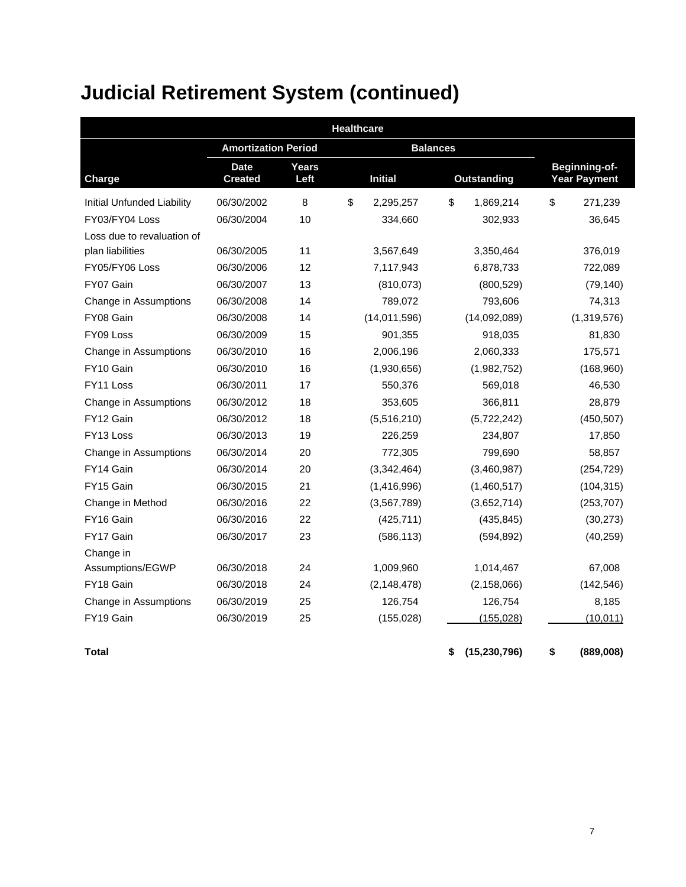| <b>Healthcare</b>                 |                               |               |                |                 |                    |               |    |                                      |  |  |
|-----------------------------------|-------------------------------|---------------|----------------|-----------------|--------------------|---------------|----|--------------------------------------|--|--|
|                                   | <b>Amortization Period</b>    |               |                | <b>Balances</b> |                    |               |    |                                      |  |  |
| <b>Charge</b>                     | <b>Date</b><br><b>Created</b> | Years<br>Left | <b>Initial</b> |                 | <b>Outstanding</b> |               |    | Beginning-of-<br><b>Year Payment</b> |  |  |
| <b>Initial Unfunded Liability</b> | 06/30/2002                    | 8             | \$             | 2,295,257       | \$                 | 1,869,214     | \$ | 271,239                              |  |  |
| FY03/FY04 Loss                    | 06/30/2004                    | 10            |                | 334,660         |                    | 302,933       |    | 36,645                               |  |  |
| Loss due to revaluation of        |                               |               |                |                 |                    |               |    |                                      |  |  |
| plan liabilities                  | 06/30/2005                    | 11            |                | 3,567,649       |                    | 3,350,464     |    | 376,019                              |  |  |
| FY05/FY06 Loss                    | 06/30/2006                    | 12            |                | 7,117,943       |                    | 6,878,733     |    | 722,089                              |  |  |
| FY07 Gain                         | 06/30/2007                    | 13            |                | (810, 073)      |                    | (800, 529)    |    | (79, 140)                            |  |  |
| Change in Assumptions             | 06/30/2008                    | 14            |                | 789,072         |                    | 793,606       |    | 74,313                               |  |  |
| FY08 Gain                         | 06/30/2008                    | 14            |                | (14,011,596)    |                    | (14,092,089)  |    | (1,319,576)                          |  |  |
| FY09 Loss                         | 06/30/2009                    | 15            |                | 901,355         |                    | 918,035       |    | 81,830                               |  |  |
| Change in Assumptions             | 06/30/2010                    | 16            |                | 2,006,196       |                    | 2,060,333     |    | 175,571                              |  |  |
| FY10 Gain                         | 06/30/2010                    | 16            |                | (1,930,656)     |                    | (1,982,752)   |    | (168,960)                            |  |  |
| FY11 Loss                         | 06/30/2011                    | 17            |                | 550,376         |                    | 569,018       |    | 46,530                               |  |  |
| Change in Assumptions             | 06/30/2012                    | 18            |                | 353,605         |                    | 366,811       |    | 28,879                               |  |  |
| FY12 Gain                         | 06/30/2012                    | 18            |                | (5,516,210)     |                    | (5,722,242)   |    | (450, 507)                           |  |  |
| FY13 Loss                         | 06/30/2013                    | 19            |                | 226,259         |                    | 234,807       |    | 17,850                               |  |  |
| Change in Assumptions             | 06/30/2014                    | 20            |                | 772,305         |                    | 799,690       |    | 58,857                               |  |  |
| FY14 Gain                         | 06/30/2014                    | 20            |                | (3,342,464)     |                    | (3,460,987)   |    | (254, 729)                           |  |  |
| FY15 Gain                         | 06/30/2015                    | 21            |                | (1,416,996)     |                    | (1,460,517)   |    | (104, 315)                           |  |  |
| Change in Method                  | 06/30/2016                    | 22            |                | (3,567,789)     |                    | (3,652,714)   |    | (253, 707)                           |  |  |
| FY16 Gain                         | 06/30/2016                    | 22            |                | (425, 711)      |                    | (435, 845)    |    | (30, 273)                            |  |  |
| FY17 Gain                         | 06/30/2017                    | 23            |                | (586, 113)      |                    | (594, 892)    |    | (40, 259)                            |  |  |
| Change in                         |                               |               |                |                 |                    |               |    |                                      |  |  |
| Assumptions/EGWP                  | 06/30/2018                    | 24            |                | 1,009,960       |                    | 1,014,467     |    | 67,008                               |  |  |
| FY18 Gain                         | 06/30/2018                    | 24            |                | (2, 148, 478)   |                    | (2, 158, 066) |    | (142, 546)                           |  |  |
| Change in Assumptions             | 06/30/2019                    | 25            |                | 126,754         |                    | 126,754       |    | 8,185                                |  |  |
| FY19 Gain                         | 06/30/2019                    | 25            |                | (155, 028)      |                    | (155, 028)    |    | (10, 011)                            |  |  |

**Total \$ (15,230,796) \$ (889,008)**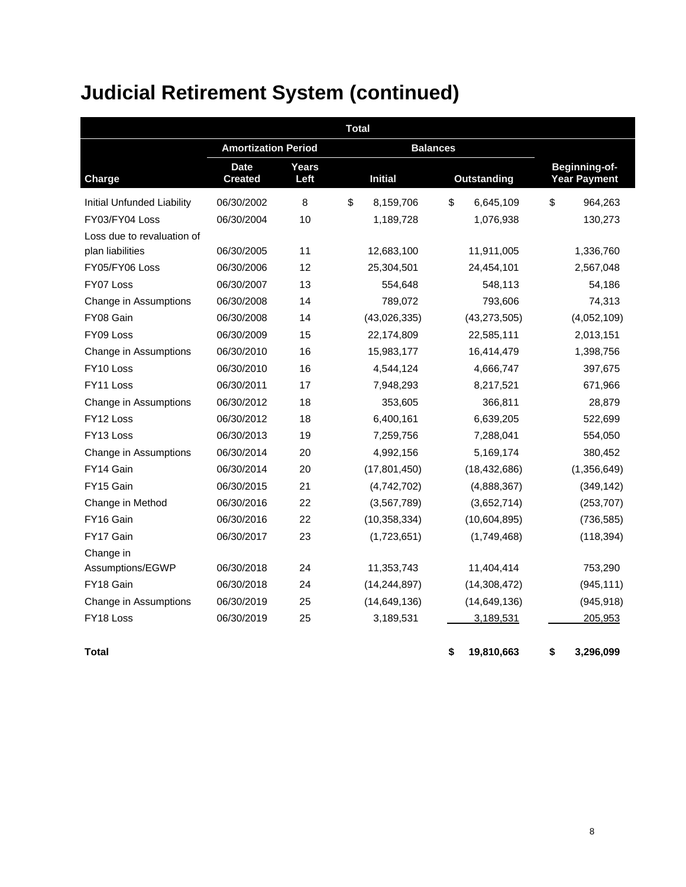| <b>Total</b>                      |                               |               |    |                 |    |                    |    |                                      |  |  |
|-----------------------------------|-------------------------------|---------------|----|-----------------|----|--------------------|----|--------------------------------------|--|--|
|                                   | <b>Amortization Period</b>    |               |    | <b>Balances</b> |    |                    |    |                                      |  |  |
| <b>Charge</b>                     | <b>Date</b><br><b>Created</b> | Years<br>Left |    | <b>Initial</b>  |    | <b>Outstanding</b> |    | Beginning-of-<br><b>Year Payment</b> |  |  |
| <b>Initial Unfunded Liability</b> | 06/30/2002                    | 8             | \$ | 8,159,706       | \$ | 6,645,109          | \$ | 964,263                              |  |  |
| FY03/FY04 Loss                    | 06/30/2004                    | 10            |    | 1,189,728       |    | 1,076,938          |    | 130,273                              |  |  |
| Loss due to revaluation of        |                               |               |    |                 |    |                    |    |                                      |  |  |
| plan liabilities                  | 06/30/2005                    | 11            |    | 12,683,100      |    | 11,911,005         |    | 1,336,760                            |  |  |
| FY05/FY06 Loss                    | 06/30/2006                    | 12            |    | 25,304,501      |    | 24,454,101         |    | 2,567,048                            |  |  |
| FY07 Loss                         | 06/30/2007                    | 13            |    | 554,648         |    | 548,113            |    | 54,186                               |  |  |
| Change in Assumptions             | 06/30/2008                    | 14            |    | 789,072         |    | 793,606            |    | 74,313                               |  |  |
| FY08 Gain                         | 06/30/2008                    | 14            |    | (43,026,335)    |    | (43, 273, 505)     |    | (4,052,109)                          |  |  |
| FY09 Loss                         | 06/30/2009                    | 15            |    | 22,174,809      |    | 22,585,111         |    | 2,013,151                            |  |  |
| Change in Assumptions             | 06/30/2010                    | 16            |    | 15,983,177      |    | 16,414,479         |    | 1,398,756                            |  |  |
| FY10 Loss                         | 06/30/2010                    | 16            |    | 4,544,124       |    | 4,666,747          |    | 397,675                              |  |  |
| FY11 Loss                         | 06/30/2011                    | 17            |    | 7,948,293       |    | 8,217,521          |    | 671,966                              |  |  |
| Change in Assumptions             | 06/30/2012                    | 18            |    | 353,605         |    | 366,811            |    | 28,879                               |  |  |
| FY <sub>12</sub> Loss             | 06/30/2012                    | 18            |    | 6,400,161       |    | 6,639,205          |    | 522,699                              |  |  |
| FY13 Loss                         | 06/30/2013                    | 19            |    | 7,259,756       |    | 7,288,041          |    | 554,050                              |  |  |
| Change in Assumptions             | 06/30/2014                    | 20            |    | 4,992,156       |    | 5,169,174          |    | 380,452                              |  |  |
| FY14 Gain                         | 06/30/2014                    | 20            |    | (17, 801, 450)  |    | (18, 432, 686)     |    | (1,356,649)                          |  |  |
| FY15 Gain                         | 06/30/2015                    | 21            |    | (4,742,702)     |    | (4,888,367)        |    | (349, 142)                           |  |  |
| Change in Method                  | 06/30/2016                    | 22            |    | (3,567,789)     |    | (3,652,714)        |    | (253, 707)                           |  |  |
| FY16 Gain                         | 06/30/2016                    | 22            |    | (10, 358, 334)  |    | (10,604,895)       |    | (736, 585)                           |  |  |
| FY17 Gain                         | 06/30/2017                    | 23            |    | (1,723,651)     |    | (1,749,468)        |    | (118, 394)                           |  |  |
| Change in                         |                               |               |    |                 |    |                    |    |                                      |  |  |
| Assumptions/EGWP                  | 06/30/2018                    | 24            |    | 11,353,743      |    | 11,404,414         |    | 753,290                              |  |  |
| FY18 Gain                         | 06/30/2018                    | 24            |    | (14, 244, 897)  |    | (14, 308, 472)     |    | (945, 111)                           |  |  |
| Change in Assumptions             | 06/30/2019                    | 25            |    | (14, 649, 136)  |    | (14, 649, 136)     |    | (945, 918)                           |  |  |
| FY18 Loss                         | 06/30/2019                    | 25            |    | 3,189,531       |    | 3,189,531          |    | 205,953                              |  |  |

**Total \$ 19,810,663 \$ 3,296,099**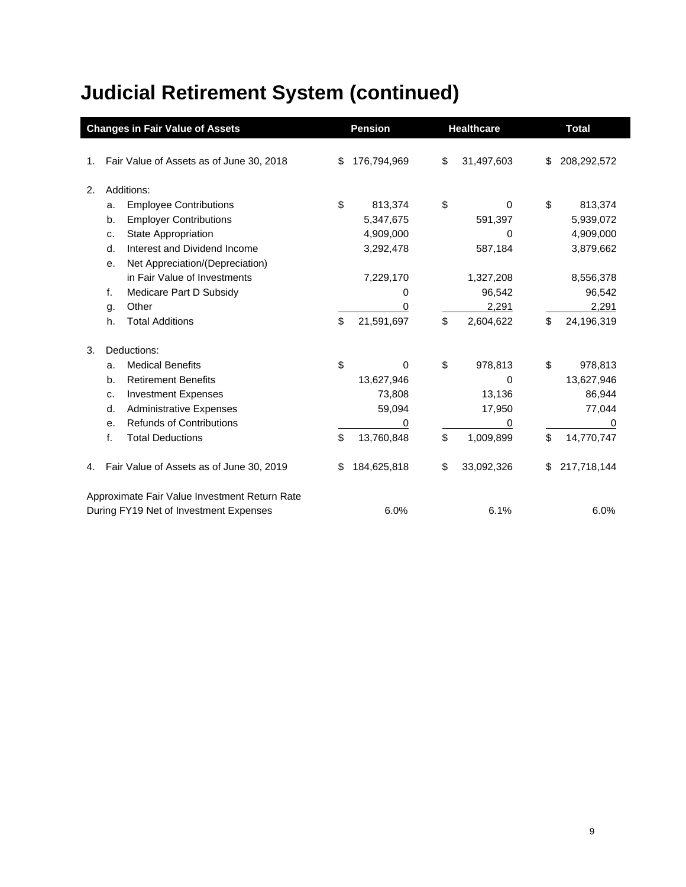|    |                | <b>Changes in Fair Value of Assets</b>        | <b>Pension</b> |             | <b>Healthcare</b> | <b>Total</b> |             |
|----|----------------|-----------------------------------------------|----------------|-------------|-------------------|--------------|-------------|
| 1. |                | Fair Value of Assets as of June 30, 2018      | \$             | 176,794,969 | \$<br>31,497,603  | \$           | 208,292,572 |
| 2. |                | Additions:                                    |                |             |                   |              |             |
|    | a.             | <b>Employee Contributions</b>                 | \$             | 813,374     | \$<br>0           | \$           | 813,374     |
|    | b.             | <b>Employer Contributions</b>                 |                | 5,347,675   | 591,397           |              | 5,939,072   |
|    | c.             | State Appropriation                           |                | 4,909,000   | 0                 |              | 4,909,000   |
|    | d.             | Interest and Dividend Income                  |                | 3,292,478   | 587,184           |              | 3,879,662   |
|    | е.             | Net Appreciation/(Depreciation)               |                |             |                   |              |             |
|    |                | in Fair Value of Investments                  |                | 7,229,170   | 1,327,208         |              | 8,556,378   |
|    | f.             | Medicare Part D Subsidy                       |                | 0           | 96,542            |              | 96,542      |
|    | g.             | Other                                         |                | 0           | 2,291             |              | 2,291       |
|    | h.             | <b>Total Additions</b>                        | \$             | 21,591,697  | \$<br>2,604,622   | \$           | 24,196,319  |
| 3. |                | Deductions:                                   |                |             |                   |              |             |
|    | a.             | <b>Medical Benefits</b>                       | \$             | 0           | \$<br>978,813     | \$           | 978,813     |
|    | b.             | <b>Retirement Benefits</b>                    |                | 13,627,946  | 0                 |              | 13,627,946  |
|    | c.             | <b>Investment Expenses</b>                    |                | 73,808      | 13,136            |              | 86,944      |
|    | d.             | <b>Administrative Expenses</b>                |                | 59,094      | 17,950            |              | 77,044      |
|    | e <sub>1</sub> | <b>Refunds of Contributions</b>               |                | 0           | 0                 |              | 0           |
|    | f.             | <b>Total Deductions</b>                       | \$             | 13,760,848  | \$<br>1,009,899   | \$           | 14,770,747  |
| 4. |                | Fair Value of Assets as of June 30, 2019      | S              | 184,625,818 | \$<br>33,092,326  | \$           | 217,718,144 |
|    |                | Approximate Fair Value Investment Return Rate |                |             |                   |              |             |
|    |                | During FY19 Net of Investment Expenses        |                | 6.0%        | 6.1%              |              | 6.0%        |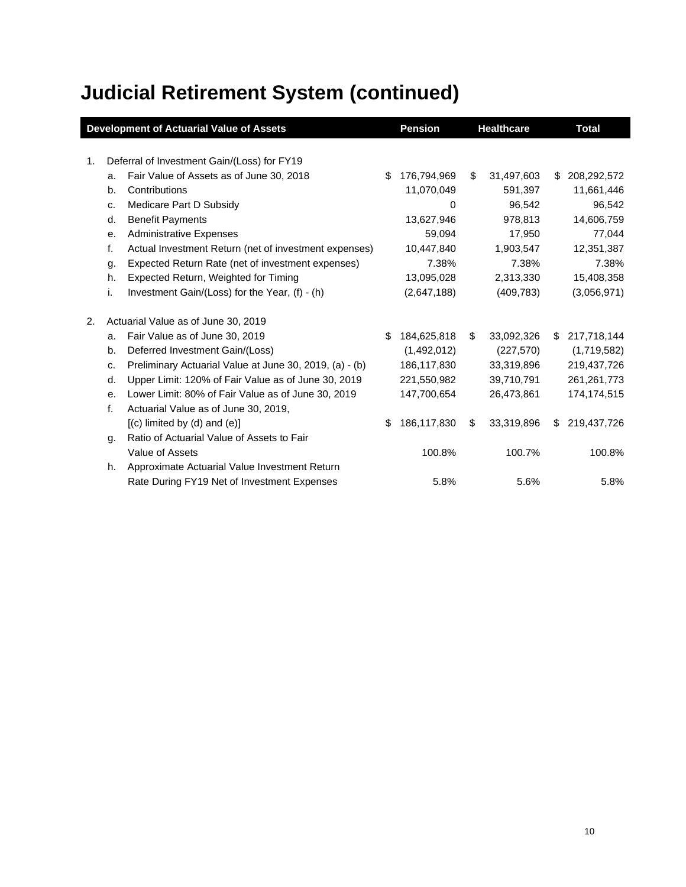|    |    | <b>Development of Actuarial Value of Assets</b>         |     | <b>Pension</b> |    | <b>Healthcare</b> |     | <b>Total</b>  |
|----|----|---------------------------------------------------------|-----|----------------|----|-------------------|-----|---------------|
|    |    |                                                         |     |                |    |                   |     |               |
| 1. |    | Deferral of Investment Gain/(Loss) for FY19             |     |                |    |                   |     |               |
|    | a. | Fair Value of Assets as of June 30, 2018                | \$  | 176,794,969    | \$ | 31,497,603        | \$  | 208,292,572   |
|    | b. | Contributions                                           |     | 11,070,049     |    | 591,397           |     | 11,661,446    |
|    | c. | Medicare Part D Subsidy                                 |     | 0              |    | 96,542            |     | 96,542        |
|    | d. | <b>Benefit Payments</b>                                 |     | 13,627,946     |    | 978,813           |     | 14,606,759    |
|    | е. | <b>Administrative Expenses</b>                          |     | 59,094         |    | 17,950            |     | 77,044        |
|    | f. | Actual Investment Return (net of investment expenses)   |     | 10,447,840     |    | 1,903,547         |     | 12,351,387    |
|    | g. | Expected Return Rate (net of investment expenses)       |     | 7.38%          |    | 7.38%             |     | 7.38%         |
|    | h. | Expected Return, Weighted for Timing                    |     | 13,095,028     |    | 2,313,330         |     | 15,408,358    |
|    | i. | Investment Gain/(Loss) for the Year, (f) - (h)          |     | (2,647,188)    |    | (409, 783)        |     | (3,056,971)   |
| 2. |    | Actuarial Value as of June 30, 2019                     |     |                |    |                   |     |               |
|    | a. | Fair Value as of June 30, 2019                          | \$. | 184,625,818    | \$ | 33,092,326        | \$  | 217,718,144   |
|    | b. | Deferred Investment Gain/(Loss)                         |     | (1,492,012)    |    | (227, 570)        |     | (1,719,582)   |
|    | C. | Preliminary Actuarial Value at June 30, 2019, (a) - (b) |     | 186,117,830    |    | 33,319,896        |     | 219,437,726   |
|    | d. | Upper Limit: 120% of Fair Value as of June 30, 2019     |     | 221,550,982    |    | 39,710,791        |     | 261, 261, 773 |
|    | е. | Lower Limit: 80% of Fair Value as of June 30, 2019      |     | 147,700,654    |    | 26,473,861        |     | 174,174,515   |
|    | f. | Actuarial Value as of June 30, 2019,                    |     |                |    |                   |     |               |
|    |    | $[(c)$ limited by $(d)$ and $(e)]$                      | \$  | 186,117,830    | S  | 33,319,896        | \$. | 219,437,726   |
|    | g. | Ratio of Actuarial Value of Assets to Fair              |     |                |    |                   |     |               |
|    |    | Value of Assets                                         |     | 100.8%         |    | 100.7%            |     | 100.8%        |
|    | h. | Approximate Actuarial Value Investment Return           |     |                |    |                   |     |               |
|    |    | Rate During FY19 Net of Investment Expenses             |     | 5.8%           |    | 5.6%              |     | 5.8%          |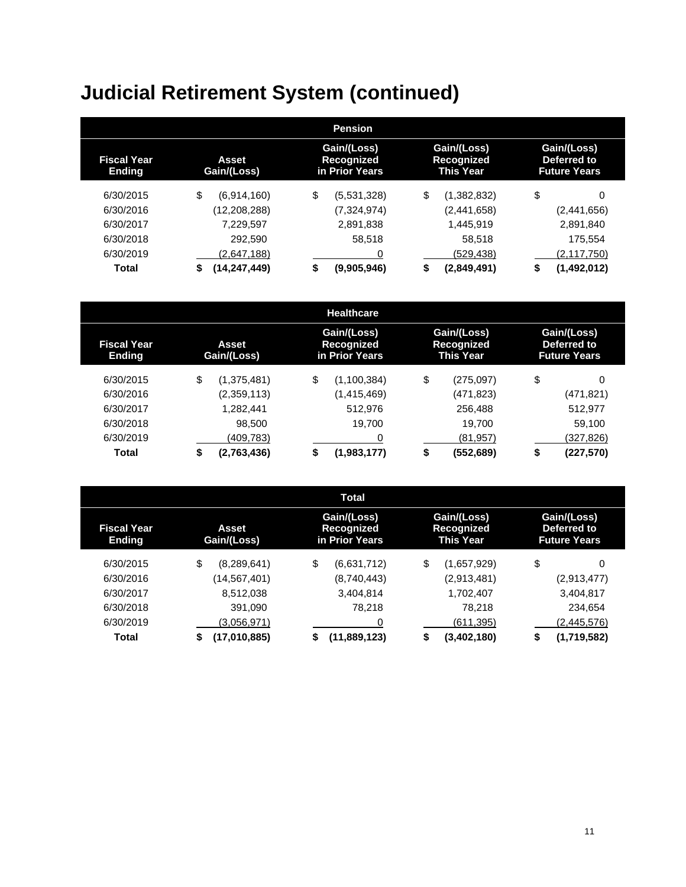|                                                             |                    | <b>Pension</b>                              |                                               |                                                   |  |
|-------------------------------------------------------------|--------------------|---------------------------------------------|-----------------------------------------------|---------------------------------------------------|--|
| <b>Fiscal Year</b><br>Asset<br>Gain/(Loss)<br><b>Ending</b> |                    | Gain/(Loss)<br>Recognized<br>in Prior Years | Gain/(Loss)<br>Recognized<br><b>This Year</b> | Gain/(Loss)<br>Deferred to<br><b>Future Years</b> |  |
| 6/30/2015                                                   | \$<br>(6,914,160)  | \$<br>(5,531,328)                           | \$<br>(1,382,832)                             | \$<br>0                                           |  |
| 6/30/2016                                                   | (12, 208, 288)     | (7,324,974)                                 | (2,441,658)                                   | (2,441,656)                                       |  |
| 6/30/2017                                                   | 7,229,597          | 2,891,838                                   | 1,445,919                                     | 2,891,840                                         |  |
| 6/30/2018                                                   | 292.590            | 58,518                                      | 58,518                                        | 175,554                                           |  |
| 6/30/2019                                                   | (2,647,188)        | 0                                           | (529,438)                                     | (2,117,750)                                       |  |
| <b>Total</b>                                                | (14,247,449)<br>\$ | \$<br>(9,905,946)                           | \$<br>(2,849,491)                             | (1,492,012)<br>\$                                 |  |

|                                                             |    |             | <b>Healthcare</b>                           |    |                                               |    |                                                   |  |
|-------------------------------------------------------------|----|-------------|---------------------------------------------|----|-----------------------------------------------|----|---------------------------------------------------|--|
| <b>Fiscal Year</b><br>Asset<br>Gain/(Loss)<br><b>Ending</b> |    |             | Gain/(Loss)<br>Recognized<br>in Prior Years |    | Gain/(Loss)<br>Recognized<br><b>This Year</b> |    | Gain/(Loss)<br>Deferred to<br><b>Future Years</b> |  |
| 6/30/2015                                                   | \$ | (1,375,481) | \$<br>(1,100,384)                           | \$ | (275,097)                                     | \$ | 0                                                 |  |
| 6/30/2016                                                   |    | (2,359,113) | (1,415,469)                                 |    | (471,823)                                     |    | (471, 821)                                        |  |
| 6/30/2017                                                   |    | 1,282,441   | 512.976                                     |    | 256,488                                       |    | 512,977                                           |  |
| 6/30/2018                                                   |    | 98,500      | 19,700                                      |    | 19.700                                        |    | 59,100                                            |  |
| 6/30/2019                                                   |    | (409,783)   |                                             |    | (81, 957)                                     |    | (327,826)                                         |  |
| <b>Total</b>                                                | \$ | (2,763,436) | \$<br>(1,983,177)                           | \$ | (552,689)                                     | S  | (227, 570)                                        |  |

|                                                             |                    | <b>Total</b>                                |                                               |                                                   |  |
|-------------------------------------------------------------|--------------------|---------------------------------------------|-----------------------------------------------|---------------------------------------------------|--|
| <b>Fiscal Year</b><br>Asset<br><b>Ending</b><br>Gain/(Loss) |                    | Gain/(Loss)<br>Recognized<br>in Prior Years | Gain/(Loss)<br>Recognized<br><b>This Year</b> | Gain/(Loss)<br>Deferred to<br><b>Future Years</b> |  |
| 6/30/2015                                                   | \$<br>(8,289,641)  | \$<br>(6,631,712)                           | \$<br>(1,657,929)                             | \$<br>0                                           |  |
| 6/30/2016                                                   | (14,567,401)       | (8,740,443)                                 | (2,913,481)                                   | (2,913,477)                                       |  |
| 6/30/2017                                                   | 8,512,038          | 3,404,814                                   | 1,702,407                                     | 3,404,817                                         |  |
| 6/30/2018                                                   | 391.090            | 78,218                                      | 78.218                                        | 234.654                                           |  |
| 6/30/2019                                                   | (3.056.971)        | 0                                           | (611,395)                                     | (2,445,576)                                       |  |
| <b>Total</b>                                                | (17,010,885)<br>\$ | (11,889,123)<br>\$                          | (3,402,180)<br>\$                             | (1,719,582)<br>S                                  |  |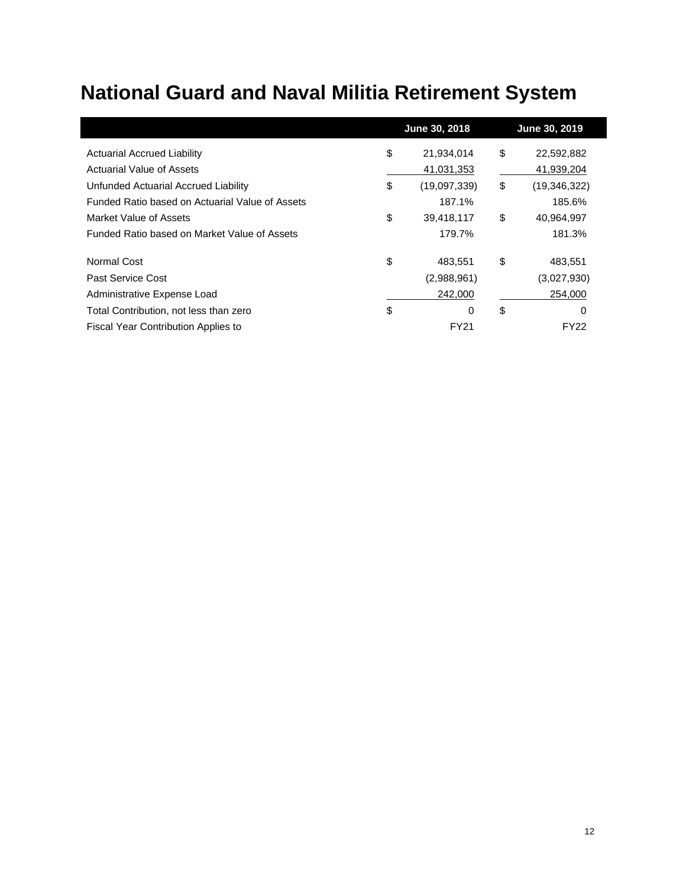## **National Guard and Naval Militia Retirement System**

|                                                 | June 30, 2018      | June 30, 2019      |
|-------------------------------------------------|--------------------|--------------------|
| <b>Actuarial Accrued Liability</b>              | \$<br>21,934,014   | \$<br>22,592,882   |
| Actuarial Value of Assets                       | 41,031,353         | 41,939,204         |
| Unfunded Actuarial Accrued Liability            | \$<br>(19,097,339) | \$<br>(19,346,322) |
| Funded Ratio based on Actuarial Value of Assets | 187.1%             | 185.6%             |
| Market Value of Assets                          | \$<br>39,418,117   | \$<br>40,964,997   |
| Funded Ratio based on Market Value of Assets    | 179.7%             | 181.3%             |
| Normal Cost                                     | \$<br>483.551      | \$<br>483.551      |
| Past Service Cost                               | (2,988,961)        | (3,027,930)        |
| Administrative Expense Load                     | 242,000            | 254,000            |
| Total Contribution, not less than zero          | \$<br>0            | \$<br>0            |
| <b>Fiscal Year Contribution Applies to</b>      | FY21               | FY22               |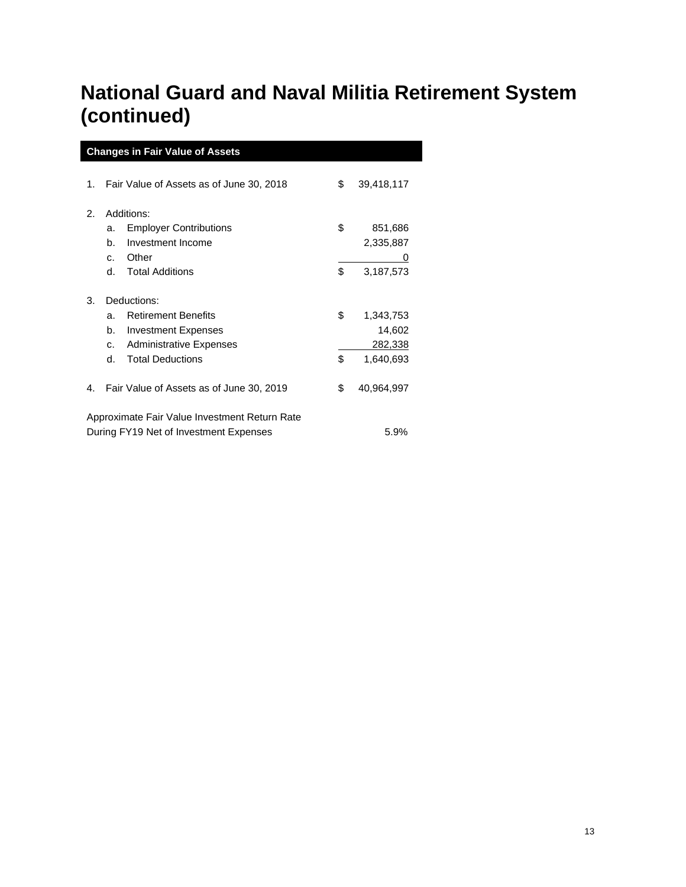### **National Guard and Naval Militia Retirement System (continued)**

| <b>Changes in Fair Value of Assets</b> |                                                |                                               |    |            |  |  |
|----------------------------------------|------------------------------------------------|-----------------------------------------------|----|------------|--|--|
| 1.                                     |                                                | Fair Value of Assets as of June 30, 2018      | \$ | 39,418,117 |  |  |
|                                        |                                                |                                               |    |            |  |  |
| 2.                                     |                                                | Additions:                                    |    |            |  |  |
|                                        | a.                                             | <b>Employer Contributions</b>                 | \$ | 851,686    |  |  |
|                                        | b.                                             | Investment Income                             |    | 2,335,887  |  |  |
|                                        | C.                                             | Other                                         |    | 0          |  |  |
|                                        | d.                                             | <b>Total Additions</b>                        | \$ | 3,187,573  |  |  |
| Deductions:<br>3.                      |                                                |                                               |    |            |  |  |
|                                        | a.                                             | <b>Retirement Benefits</b>                    | \$ | 1,343,753  |  |  |
|                                        | b.                                             | <b>Investment Expenses</b>                    |    | 14,602     |  |  |
|                                        | C.                                             | <b>Administrative Expenses</b>                |    | 282,338    |  |  |
|                                        | d.                                             | <b>Total Deductions</b>                       | \$ | 1,640,693  |  |  |
| 4.                                     |                                                | Fair Value of Assets as of June 30, 2019      | \$ | 40,964,997 |  |  |
|                                        |                                                | Approximate Fair Value Investment Return Rate |    |            |  |  |
|                                        | During FY19 Net of Investment Expenses<br>5.9% |                                               |    |            |  |  |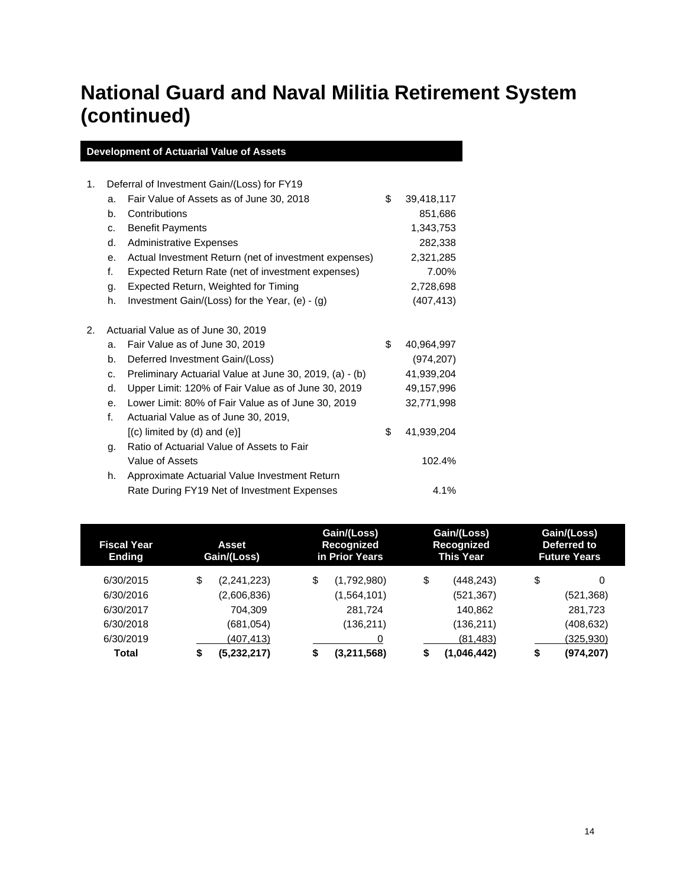### **National Guard and Naval Militia Retirement System (continued)**

| 1. | Deferral of Investment Gain/(Loss) for FY19 |                                                         |    |            |
|----|---------------------------------------------|---------------------------------------------------------|----|------------|
|    | a.                                          | Fair Value of Assets as of June 30, 2018                | \$ | 39,418,117 |
|    | b.                                          | Contributions                                           |    | 851,686    |
|    | C.                                          | <b>Benefit Payments</b>                                 |    | 1,343,753  |
|    | d.                                          | <b>Administrative Expenses</b>                          |    | 282,338    |
|    | e <sub>1</sub>                              | Actual Investment Return (net of investment expenses)   |    | 2,321,285  |
|    | f.                                          | Expected Return Rate (net of investment expenses)       |    | 7.00%      |
|    | g.                                          | Expected Return, Weighted for Timing                    |    | 2,728,698  |
|    | h.                                          | Investment Gain/(Loss) for the Year, (e) - (g)          |    | (407, 413) |
| 2. |                                             | Actuarial Value as of June 30, 2019                     |    |            |
|    | a.                                          | Fair Value as of June 30, 2019                          | \$ | 40,964,997 |
|    | b.                                          | Deferred Investment Gain/(Loss)                         |    | (974, 207) |
|    | C.                                          | Preliminary Actuarial Value at June 30, 2019, (a) - (b) |    | 41,939,204 |
|    | d.                                          | Upper Limit: 120% of Fair Value as of June 30, 2019     |    | 49,157,996 |
|    | e.                                          | Lower Limit: 80% of Fair Value as of June 30, 2019      |    | 32,771,998 |
|    | f.                                          | Actuarial Value as of June 30, 2019,                    |    |            |
|    |                                             | $[(c)$ limited by $(d)$ and $(e)]$                      | \$ | 41,939,204 |
|    | g.                                          | Ratio of Actuarial Value of Assets to Fair              |    |            |
|    |                                             | Value of Assets                                         |    | 102.4%     |
|    | h.                                          | Approximate Actuarial Value Investment Return           |    |            |
|    |                                             | Rate During FY19 Net of Investment Expenses             |    | 4.1%       |
|    |                                             |                                                         |    |            |

| <b>Fiscal Year</b><br><b>Ending</b> | <b>Asset</b><br>Gain/(Loss) | Gain/(Loss)<br>Recognized<br>in Prior Years | Gain/(Loss)<br>Recognized<br>This Year | Gain/(Loss)<br>Deferred to<br><b>Future Years</b> |
|-------------------------------------|-----------------------------|---------------------------------------------|----------------------------------------|---------------------------------------------------|
| 6/30/2015                           | \$<br>(2,241,223)           | \$<br>(1,792,980)                           | \$<br>(448,243)                        | \$<br>0                                           |
| 6/30/2016                           | (2,606,836)                 | (1,564,101)                                 | (521,367)                              | (521, 368)                                        |
| 6/30/2017                           | 704.309                     | 281.724                                     | 140,862                                | 281,723                                           |
| 6/30/2018                           | (681, 054)                  | (136,211)                                   | (136,211)                              | (408, 632)                                        |
| 6/30/2019                           | (407,413)                   |                                             | (81, 483)                              | (325,930)                                         |
| Total                               | \$<br>(5,232,217)           | \$<br>(3,211,568)                           | (1,046,442)<br>\$                      | (974, 207)<br>œ                                   |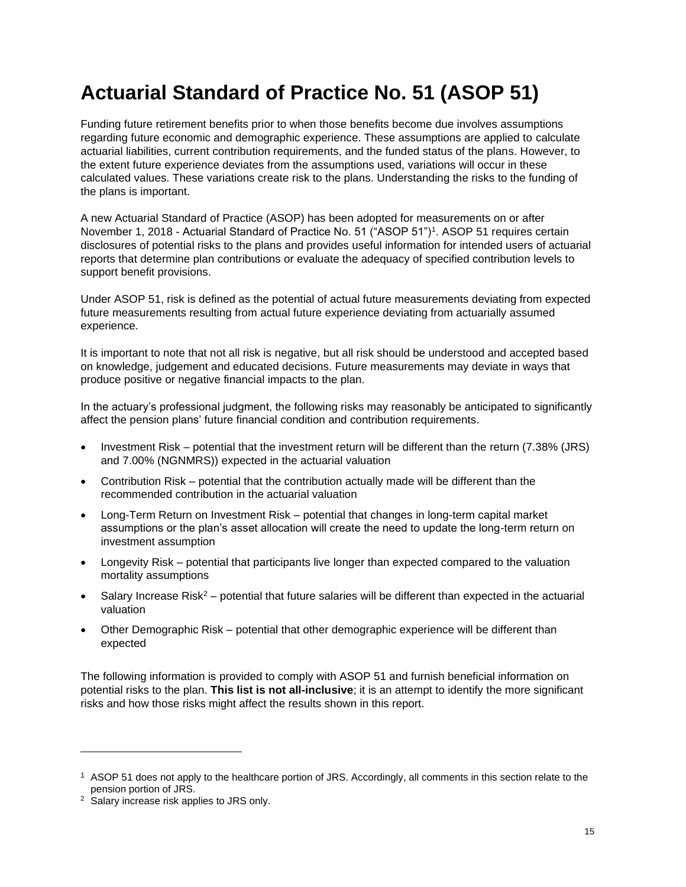### **Actuarial Standard of Practice No. 51 (ASOP 51)**

Funding future retirement benefits prior to when those benefits become due involves assumptions regarding future economic and demographic experience. These assumptions are applied to calculate actuarial liabilities, current contribution requirements, and the funded status of the plans. However, to the extent future experience deviates from the assumptions used, variations will occur in these calculated values. These variations create risk to the plans. Understanding the risks to the funding of the plans is important.

A new Actuarial Standard of Practice (ASOP) has been adopted for measurements on or after November 1, 2018 - Actuarial Standard of Practice No. 51 ("ASOP 51")<sup>1</sup> . ASOP 51 requires certain disclosures of potential risks to the plans and provides useful information for intended users of actuarial reports that determine plan contributions or evaluate the adequacy of specified contribution levels to support benefit provisions.

Under ASOP 51, risk is defined as the potential of actual future measurements deviating from expected future measurements resulting from actual future experience deviating from actuarially assumed experience.

It is important to note that not all risk is negative, but all risk should be understood and accepted based on knowledge, judgement and educated decisions. Future measurements may deviate in ways that produce positive or negative financial impacts to the plan.

In the actuary's professional judgment, the following risks may reasonably be anticipated to significantly affect the pension plans' future financial condition and contribution requirements.

- Investment Risk potential that the investment return will be different than the return (7.38% (JRS) and 7.00% (NGNMRS)) expected in the actuarial valuation
- Contribution Risk potential that the contribution actually made will be different than the recommended contribution in the actuarial valuation
- Long-Term Return on Investment Risk potential that changes in long-term capital market assumptions or the plan's asset allocation will create the need to update the long-term return on investment assumption
- Longevity Risk potential that participants live longer than expected compared to the valuation mortality assumptions
- Salary Increase Risk<sup>2</sup> potential that future salaries will be different than expected in the actuarial valuation
- Other Demographic Risk potential that other demographic experience will be different than expected

The following information is provided to comply with ASOP 51 and furnish beneficial information on potential risks to the plan. **This list is not all-inclusive**; it is an attempt to identify the more significant risks and how those risks might affect the results shown in this report.

<sup>1</sup> ASOP 51 does not apply to the healthcare portion of JRS. Accordingly, all comments in this section relate to the pension portion of JRS.

<sup>2</sup> Salary increase risk applies to JRS only.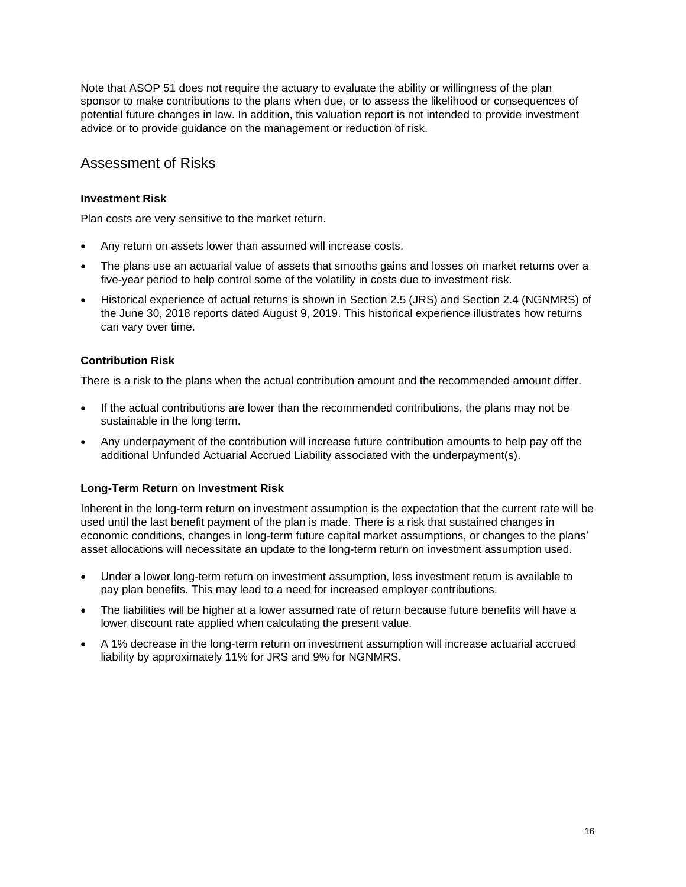Note that ASOP 51 does not require the actuary to evaluate the ability or willingness of the plan sponsor to make contributions to the plans when due, or to assess the likelihood or consequences of potential future changes in law. In addition, this valuation report is not intended to provide investment advice or to provide guidance on the management or reduction of risk.

### Assessment of Risks

### **Investment Risk**

Plan costs are very sensitive to the market return.

- Any return on assets lower than assumed will increase costs.
- The plans use an actuarial value of assets that smooths gains and losses on market returns over a five-year period to help control some of the volatility in costs due to investment risk.
- Historical experience of actual returns is shown in Section 2.5 (JRS) and Section 2.4 (NGNMRS) of the June 30, 2018 reports dated August 9, 2019. This historical experience illustrates how returns can vary over time.

### **Contribution Risk**

There is a risk to the plans when the actual contribution amount and the recommended amount differ.

- If the actual contributions are lower than the recommended contributions, the plans may not be sustainable in the long term.
- Any underpayment of the contribution will increase future contribution amounts to help pay off the additional Unfunded Actuarial Accrued Liability associated with the underpayment(s).

### **Long-Term Return on Investment Risk**

Inherent in the long-term return on investment assumption is the expectation that the current rate will be used until the last benefit payment of the plan is made. There is a risk that sustained changes in economic conditions, changes in long-term future capital market assumptions, or changes to the plans' asset allocations will necessitate an update to the long-term return on investment assumption used.

- Under a lower long-term return on investment assumption, less investment return is available to pay plan benefits. This may lead to a need for increased employer contributions.
- The liabilities will be higher at a lower assumed rate of return because future benefits will have a lower discount rate applied when calculating the present value.
- A 1% decrease in the long-term return on investment assumption will increase actuarial accrued liability by approximately 11% for JRS and 9% for NGNMRS.